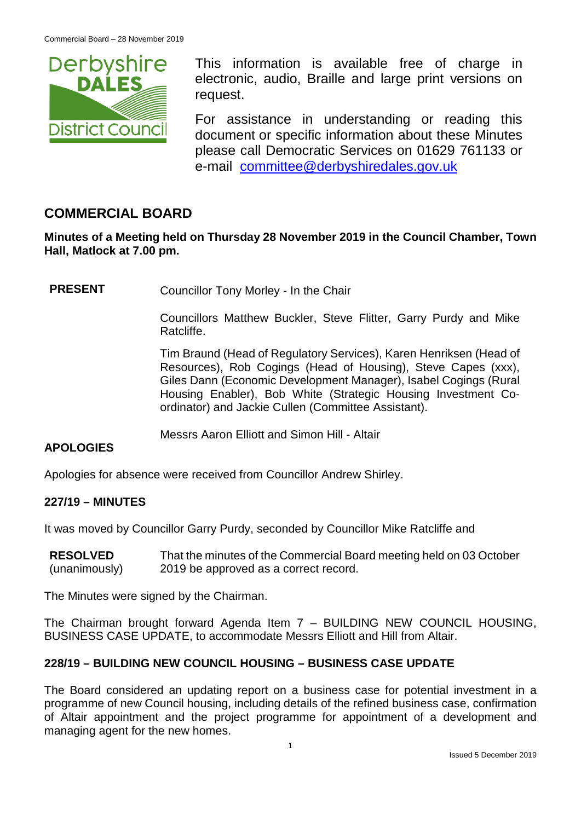

This information is available free of charge in electronic, audio, Braille and large print versions on request.

For assistance in understanding or reading this document or specific information about these Minutes please call Democratic Services on 01629 761133 or e-mail [committee@derbyshiredales.gov.uk](mailto:brian.evans@derbyshiredales.gov.uk)

# **COMMERCIAL BOARD**

**Minutes of a Meeting held on Thursday 28 November 2019 in the Council Chamber, Town Hall, Matlock at 7.00 pm.**

**PRESENT** Councillor Tony Morley - In the Chair

Councillors Matthew Buckler, Steve Flitter, Garry Purdy and Mike Ratcliffe.

Tim Braund (Head of Regulatory Services), Karen Henriksen (Head of Resources), Rob Cogings (Head of Housing), Steve Capes (xxx), Giles Dann (Economic Development Manager), Isabel Cogings (Rural Housing Enabler), Bob White (Strategic Housing Investment Coordinator) and Jackie Cullen (Committee Assistant).

Messrs Aaron Elliott and Simon Hill - Altair

### **APOLOGIES**

Apologies for absence were received from Councillor Andrew Shirley.

### **227/19 – MINUTES**

It was moved by Councillor Garry Purdy, seconded by Councillor Mike Ratcliffe and

| <b>RESOLVED</b> | That the minutes of the Commercial Board meeting held on 03 October |
|-----------------|---------------------------------------------------------------------|
| (unanimously)   | 2019 be approved as a correct record.                               |

The Minutes were signed by the Chairman.

The Chairman brought forward Agenda Item 7 – BUILDING NEW COUNCIL HOUSING, BUSINESS CASE UPDATE, to accommodate Messrs Elliott and Hill from Altair.

### **228/19 – BUILDING NEW COUNCIL HOUSING – BUSINESS CASE UPDATE**

The Board considered an updating report on a business case for potential investment in a programme of new Council housing, including details of the refined business case, confirmation of Altair appointment and the project programme for appointment of a development and managing agent for the new homes.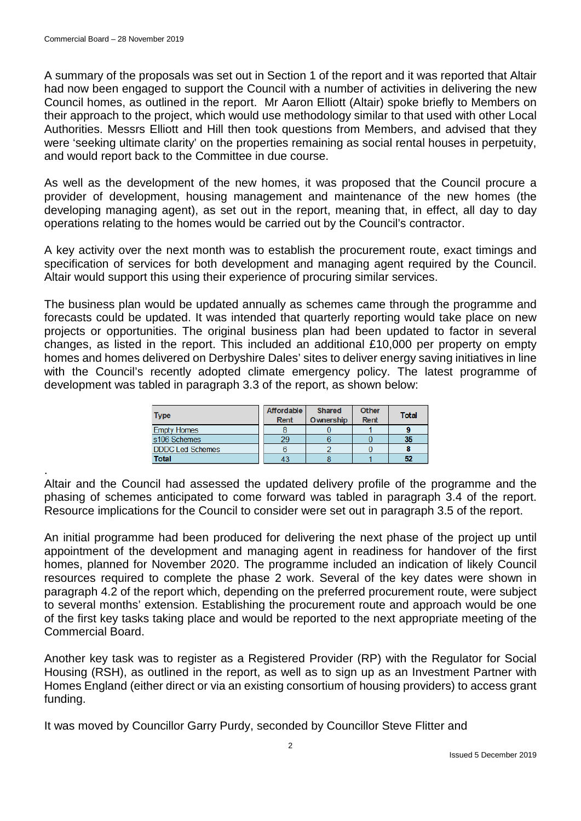A summary of the proposals was set out in Section 1 of the report and it was reported that Altair had now been engaged to support the Council with a number of activities in delivering the new Council homes, as outlined in the report. Mr Aaron Elliott (Altair) spoke briefly to Members on their approach to the project, which would use methodology similar to that used with other Local Authorities. Messrs Elliott and Hill then took questions from Members, and advised that they were 'seeking ultimate clarity' on the properties remaining as social rental houses in perpetuity, and would report back to the Committee in due course.

As well as the development of the new homes, it was proposed that the Council procure a provider of development, housing management and maintenance of the new homes (the developing managing agent), as set out in the report, meaning that, in effect, all day to day operations relating to the homes would be carried out by the Council's contractor.

A key activity over the next month was to establish the procurement route, exact timings and specification of services for both development and managing agent required by the Council. Altair would support this using their experience of procuring similar services.

The business plan would be updated annually as schemes came through the programme and forecasts could be updated. It was intended that quarterly reporting would take place on new projects or opportunities. The original business plan had been updated to factor in several changes, as listed in the report. This included an additional £10,000 per property on empty homes and homes delivered on Derbyshire Dales' sites to deliver energy saving initiatives in line with the Council's recently adopted climate emergency policy. The latest programme of development was tabled in paragraph 3.3 of the report, as shown below:

| <b>Type</b>             | Affordable<br>Rent | <b>Shared</b><br>Ownership | Other<br><b>Rent</b> | <b>Total</b> |
|-------------------------|--------------------|----------------------------|----------------------|--------------|
| <b>Empty Homes</b>      |                    |                            |                      |              |
| s106 Schemes            | 29                 |                            |                      | -35          |
| <b>DDDC Led Schemes</b> |                    |                            |                      |              |
| <b>Total</b>            | 43                 |                            |                      | 52           |

. Altair and the Council had assessed the updated delivery profile of the programme and the phasing of schemes anticipated to come forward was tabled in paragraph 3.4 of the report. Resource implications for the Council to consider were set out in paragraph 3.5 of the report.

An initial programme had been produced for delivering the next phase of the project up until appointment of the development and managing agent in readiness for handover of the first homes, planned for November 2020. The programme included an indication of likely Council resources required to complete the phase 2 work. Several of the key dates were shown in paragraph 4.2 of the report which, depending on the preferred procurement route, were subject to several months' extension. Establishing the procurement route and approach would be one of the first key tasks taking place and would be reported to the next appropriate meeting of the Commercial Board.

Another key task was to register as a Registered Provider (RP) with the Regulator for Social Housing (RSH), as outlined in the report, as well as to sign up as an Investment Partner with Homes England (either direct or via an existing consortium of housing providers) to access grant funding.

It was moved by Councillor Garry Purdy, seconded by Councillor Steve Flitter and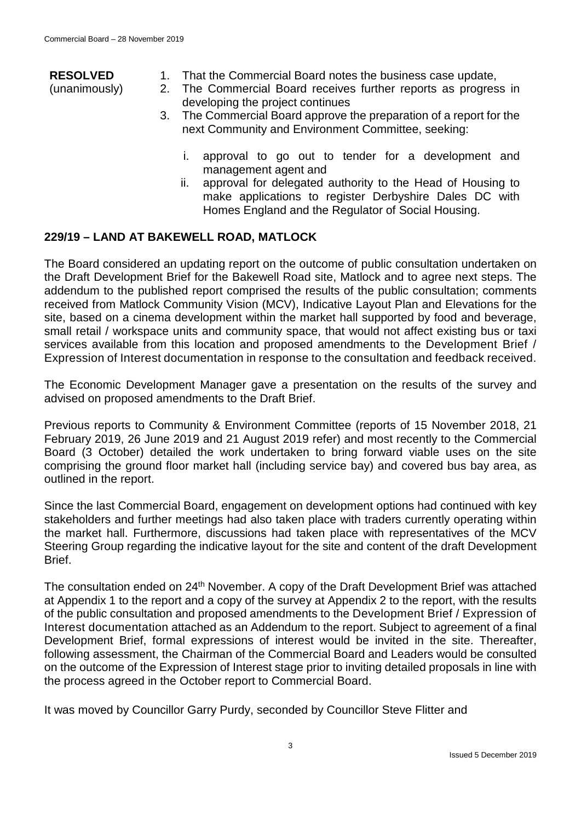# **RESOLVED**

- (unanimously)
- 1. That the Commercial Board notes the business case update,
- 2. The Commercial Board receives further reports as progress in developing the project continues
- 3. The Commercial Board approve the preparation of a report for the next Community and Environment Committee, seeking:
	- i. approval to go out to tender for a development and management agent and
	- ii. approval for delegated authority to the Head of Housing to make applications to register Derbyshire Dales DC with Homes England and the Regulator of Social Housing.

## **229/19 – LAND AT BAKEWELL ROAD, MATLOCK**

The Board considered an updating report on the outcome of public consultation undertaken on the Draft Development Brief for the Bakewell Road site, Matlock and to agree next steps. The addendum to the published report comprised the results of the public consultation; comments received from Matlock Community Vision (MCV), Indicative Layout Plan and Elevations for the site, based on a cinema development within the market hall supported by food and beverage, small retail / workspace units and community space, that would not affect existing bus or taxi services available from this location and proposed amendments to the Development Brief / Expression of Interest documentation in response to the consultation and feedback received.

The Economic Development Manager gave a presentation on the results of the survey and advised on proposed amendments to the Draft Brief.

Previous reports to Community & Environment Committee (reports of 15 November 2018, 21 February 2019, 26 June 2019 and 21 August 2019 refer) and most recently to the Commercial Board (3 October) detailed the work undertaken to bring forward viable uses on the site comprising the ground floor market hall (including service bay) and covered bus bay area, as outlined in the report.

Since the last Commercial Board, engagement on development options had continued with key stakeholders and further meetings had also taken place with traders currently operating within the market hall. Furthermore, discussions had taken place with representatives of the MCV Steering Group regarding the indicative layout for the site and content of the draft Development Brief.

The consultation ended on 24<sup>th</sup> November. A copy of the Draft Development Brief was attached at Appendix 1 to the report and a copy of the survey at Appendix 2 to the report, with the results of the public consultation and proposed amendments to the Development Brief / Expression of Interest documentation attached as an Addendum to the report. Subject to agreement of a final Development Brief, formal expressions of interest would be invited in the site. Thereafter, following assessment, the Chairman of the Commercial Board and Leaders would be consulted on the outcome of the Expression of Interest stage prior to inviting detailed proposals in line with the process agreed in the October report to Commercial Board.

It was moved by Councillor Garry Purdy, seconded by Councillor Steve Flitter and